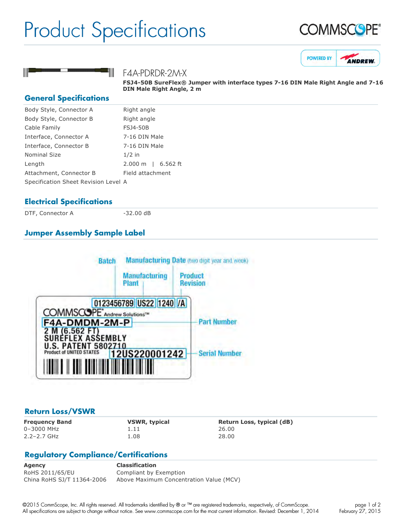## Product Specifications







#### F4A-PDRDR-2M-X

**FSJ450B SureFlex® Jumper with interface types 716 DIN Male Right Angle and 716 DIN Male Right Angle, 2 m**

#### **General Specifications**

| Right angle                          |
|--------------------------------------|
| Right angle                          |
| <b>FSJ4-50B</b>                      |
| 7-16 DIN Male                        |
| 7-16 DIN Male                        |
| $1/2$ in                             |
| 2.000 m   6.562 ft                   |
| Field attachment                     |
| Specification Sheet Revision Level A |
|                                      |

#### **Electrical Specifications**

DTF, Connector A 32.00 dB

### **Jumper Assembly Sample Label**



#### **Return Loss/VSWR**

0–3000 MHz 1.11 26.00 2.2–2.7 GHz 1.08 28.00

**Frequency Band VSWR, typical Return Loss, typical (dB)**

### **Regulatory Compliance/Certifications**

**Agency Classification** RoHS 2011/65/EU Compliant by Exemption China RoHS SJ/T 11364-2006 Above Maximum Concentration Value (MCV)

©2015 CommScope, Inc. All rights reserved. All trademarks identified by ® or ™ are registered trademarks, respectively, of CommScope. All specifications are subject to change without notice. See www.commscope.com for the most current information. Revised: December 1, 2014